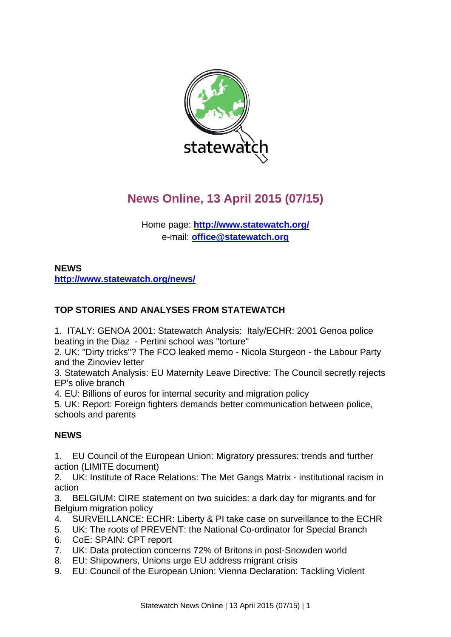

# **News Online, 13 April 2015 (07/15)**

Home page: **<http://www.statewatch.org/>** e-mail: **[office@statewatch.org](mailto:office@statewatch.org)**

# **NEWS <http://www.statewatch.org/news/>**

# **TOP STORIES AND ANALYSES FROM STATEWATCH**

1. ITALY: GENOA 2001: Statewatch Analysis: Italy/ECHR: 2001 Genoa police beating in the Diaz - Pertini school was "torture"

2. UK: "Dirty tricks"? The FCO leaked memo - Nicola Sturgeon - the Labour Party and the Zinoviev letter

3. Statewatch Analysis: EU Maternity Leave Directive: The Council secretly rejects EP's olive branch

4. EU: Billions of euros for internal security and migration policy

5. UK: Report: Foreign fighters demands better communication between police, schools and parents

# **NEWS**

1. EU Council of the European Union: Migratory pressures: trends and further action (LIMITE document)

2. UK: Institute of Race Relations: The Met Gangs Matrix - institutional racism in action

3. BELGIUM: CIRE statement on two suicides: a dark day for migrants and for Belgium migration policy

- 4. SURVEILLANCE: ECHR: Liberty & PI take case on surveillance to the ECHR
- 5. UK: The roots of PREVENT: the National Co-ordinator for Special Branch
- 6. CoE: SPAIN: CPT report
- 7. UK: Data protection concerns 72% of Britons in post-Snowden world
- 8. EU: Shipowners, Unions urge EU address migrant crisis
- 9. EU: Council of the European Union: Vienna Declaration: Tackling Violent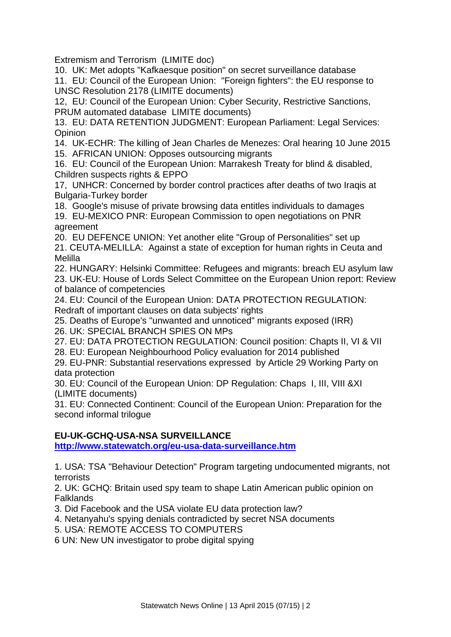Extremism and Terrorism (LIMITE doc)

10. UK: Met adopts "Kafkaesque position" on secret surveillance database

11. EU: Council of the European Union: "Foreign fighters": the EU response to UNSC Resolution 2178 (LIMITE documents)

12, EU: Council of the European Union: Cyber Security, Restrictive Sanctions, PRUM automated database LIMITE documents)

13. EU: DATA RETENTION JUDGMENT: European Parliament: Legal Services: **Opinion** 

14. UK-ECHR: The killing of Jean Charles de Menezes: Oral hearing 10 June 2015 15. AFRICAN UNION: Opposes outsourcing migrants

16. EU: Council of the European Union: Marrakesh Treaty for blind & disabled, Children suspects rights & EPPO

17, UNHCR: Concerned by border control practices after deaths of two Iraqis at Bulgaria-Turkey border

18. Google's misuse of private browsing data entitles individuals to damages

19. EU-MEXICO PNR: European Commission to open negotiations on PNR agreement

20. EU DEFENCE UNION: Yet another elite "Group of Personalities" set up 21. CEUTA-MELILLA: Against a state of exception for human rights in Ceuta and

Melilla 22. HUNGARY: Helsinki Committee: Refugees and migrants: breach EU asylum law 23. UK-EU: House of Lords Select Committee on the European Union report: Review of balance of competencies

24. EU: Council of the European Union: DATA PROTECTION REGULATION: Redraft of important clauses on data subjects' rights

25. Deaths of Europe's "unwanted and unnoticed" migrants exposed (IRR) 26. UK: SPECIAL BRANCH SPIES ON MPs

27. EU: DATA PROTECTION REGULATION: Council position: Chapts II, VI & VII

28. EU: European Neighbourhood Policy evaluation for 2014 published

29. EU-PNR: Substantial reservations expressed by Article 29 Working Party on data protection

30. EU: Council of the European Union: DP Regulation: Chaps I, III, VIII &XI (LIMITE documents)

31. EU: Connected Continent: Council of the European Union: Preparation for the second informal trilogue

# **EU-UK-GCHQ-USA-NSA SURVEILLANCE**

**<http://www.statewatch.org/eu-usa-data-surveillance.htm>**

1. USA: TSA "Behaviour Detection" Program targeting undocumented migrants, not terrorists

2. UK: GCHQ: Britain used spy team to shape Latin American public opinion on Falklands

3. Did Facebook and the USA violate EU data protection law?

4. Netanyahu's spying denials contradicted by secret NSA documents

5. USA: REMOTE ACCESS TO COMPUTERS

6 UN: New UN investigator to probe digital spying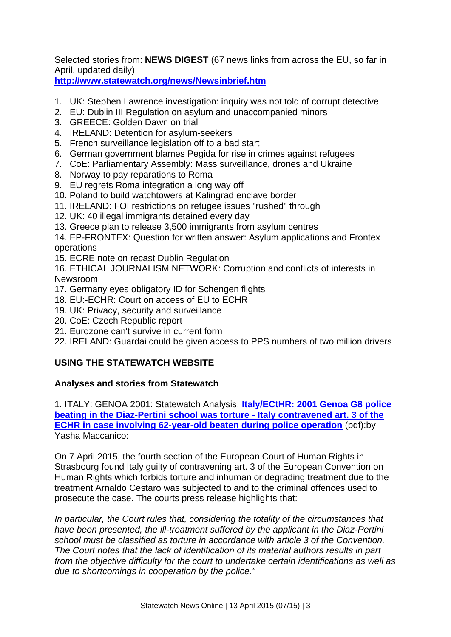Selected stories from: **NEWS DIGEST** (67 news links from across the EU, so far in April, updated daily)

**<http://www.statewatch.org/news/Newsinbrief.htm>**

- 1. UK: Stephen Lawrence investigation: inquiry was not told of corrupt detective
- 2. EU: Dublin III Regulation on asylum and unaccompanied minors
- 3. GREECE: Golden Dawn on trial
- 4. IRELAND: Detention for asylum-seekers
- 5. French surveillance legislation off to a bad start
- 6.German government blames Pegida for rise in crimes against refugees
- 7. CoE: Parliamentary Assembly: Mass surveillance, drones and Ukraine
- 8. Norway to pay reparations to Roma
- 9. EU regrets Roma integration a long way off
- 10. Poland to build watchtowers at Kalingrad enclave border
- 11. IRELAND: FOI restrictions on refugee issues "rushed" through
- 12. UK: 40 illegal immigrants detained every day
- 13. Greece plan to release 3,500 immigrants from asylum centres

14. EP-FRONTEX: Question for written answer: Asylum applications and Frontex operations

15. ECRE note on recast Dublin Regulation

16. ETHICAL JOURNALISM NETWORK: Corruption and conflicts of interests in Newsroom

- 17. Germany eyes obligatory ID for Schengen flights
- 18. EU:-ECHR: Court on access of EU to ECHR
- 19. UK: Privacy, security and surveillance
- 20. CoE: Czech Republic report
- 21. Eurozone can't survive in current form
- 22. IRELAND: Guardai could be given access to PPS numbers of two million drivers

## **USING THE STATEWATCH WEBSITE**

#### **Analyses and stories from Statewatch**

1. ITALY: GENOA 2001: Statewatch Analysis: **[Italy/ECtHR: 2001 Genoa G8 police](http://www.statewatch.org/analyses/no-266-genoa-2.pdf)  [beating in the Diaz-Pertini school was torture -](http://www.statewatch.org/analyses/no-266-genoa-2.pdf) Italy contravened art. 3 of the [ECHR in case involving 62-year-old beaten during police operation](http://www.statewatch.org/analyses/no-266-genoa-2.pdf)** (pdf):by Yasha Maccanico:

On 7 April 2015, the fourth section of the European Court of Human Rights in Strasbourg found Italy guilty of contravening art. 3 of the European Convention on Human Rights which forbids torture and inhuman or degrading treatment due to the treatment Arnaldo Cestaro was subjected to and to the criminal offences used to prosecute the case. The courts press release highlights that:

*In particular, the Court rules that, considering the totality of the circumstances that have been presented, the ill-treatment suffered by the applicant in the Diaz-Pertini school must be classified as torture in accordance with article 3 of the Convention. The Court notes that the lack of identification of its material authors results in part from the objective difficulty for the court to undertake certain identifications as well as due to shortcomings in cooperation by the police."*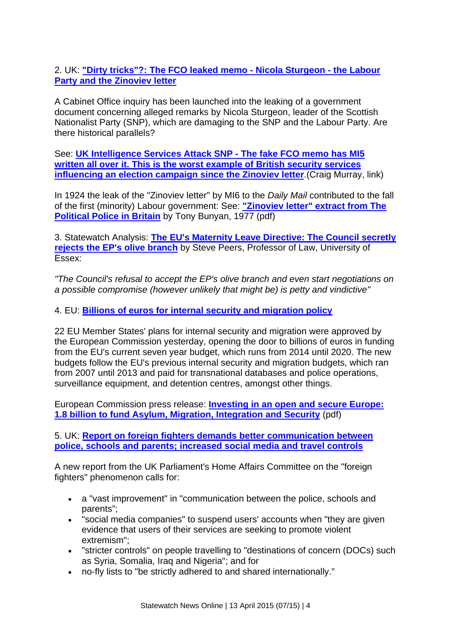2. UK: **["Dirty tricks"?: The FCO leaked memo -](http://www.statewatch.org/news/2015/apr/uk-dirty-tricks-leaked-memo.htm) Nicola Sturgeon - the Labour [Party and the Zinoviev letter](http://www.statewatch.org/news/2015/apr/uk-dirty-tricks-leaked-memo.htm)**

A Cabinet Office inquiry has been launched into the leaking of a government document concerning alleged remarks by Nicola Sturgeon, leader of the Scottish Nationalist Party (SNP), which are damaging to the SNP and the Labour Party. Are there historical parallels?

See: **[UK Intelligence Services Attack SNP -](https://www.craigmurray.org.uk/archives/2015/04/uk-intelligence-services-attack-snp/) The fake FCO memo has MI5 [written all over it. This is the worst example of British security services](https://www.craigmurray.org.uk/archives/2015/04/uk-intelligence-services-attack-snp/)  [influencing an election campaign since the Zinoviev letter](https://www.craigmurray.org.uk/archives/2015/04/uk-intelligence-services-attack-snp/)**.(Craig Murray, link)

In 1924 the leak of the "Zinoviev letter" by MI6 to the *Daily Mail* contributed to the fall of the first (minority) Labour government: See: **["Zinoviev letter" extract from The](http://www.statewatch.org/news/2015/apr/zinoviev-letter.pdf)  [Political Police in Britain](http://www.statewatch.org/news/2015/apr/zinoviev-letter.pdf)** by Tony Bunyan, 1977 (pdf)

3. Statewatch Analysis: **[The EU's Maternity Leave Directive: The Council secretly](http://www.statewatch.org/news/2015/mar/eu-council-maternity-leave.htm)  [rejects the EP's olive branch](http://www.statewatch.org/news/2015/mar/eu-council-maternity-leave.htm)** by Steve Peers, Professor of Law, University of Essex:

*"The Council's refusal to accept the EP's olive branch and even start negotiations on a possible compromise (however unlikely that might be) is petty and vindictive"*

4. EU: **[Billions of euros for internal security and migration policy](http://statewatch.org/news/2015/mar/eu-isf-amif-funding.html)**

22 EU Member States' plans for internal security and migration were approved by the European Commission yesterday, opening the door to billions of euros in funding from the EU's current seven year budget, which runs from 2014 until 2020. The new budgets follow the EU's previous internal security and migration budgets, which ran from 2007 until 2013 and paid for transnational databases and police operations, surveillance equipment, and detention centres, amongst other things.

European Commission press release: **[Investing in an open and secure Europe:](http://statewatch.org/news/2015/mar/eu-com-2015-03-25-pr-amif-isf-programme-agreement.pdf)  [1.8 billion to fund Asylum, Migration, Integration and Security](http://statewatch.org/news/2015/mar/eu-com-2015-03-25-pr-amif-isf-programme-agreement.pdf)** (pdf)

5. UK: **[Report on foreign fighters demands better communication between](http://statewatch.org/news/2015/mar/uk-foreign-fighters-report.html)  [police, schools and parents; increased social media and travel controls](http://statewatch.org/news/2015/mar/uk-foreign-fighters-report.html)**

A new report from the UK Parliament's Home Affairs Committee on the "foreign fighters" phenomenon calls for:

- a "vast improvement" in "communication between the police, schools and parents";
- "social media companies" to suspend users' accounts when "they are given evidence that users of their services are seeking to promote violent extremism";
- "stricter controls" on people travelling to "destinations of concern (DOCs) such as Syria, Somalia, Iraq and Nigeria"; and for
- no-fly lists to "be strictly adhered to and shared internationally."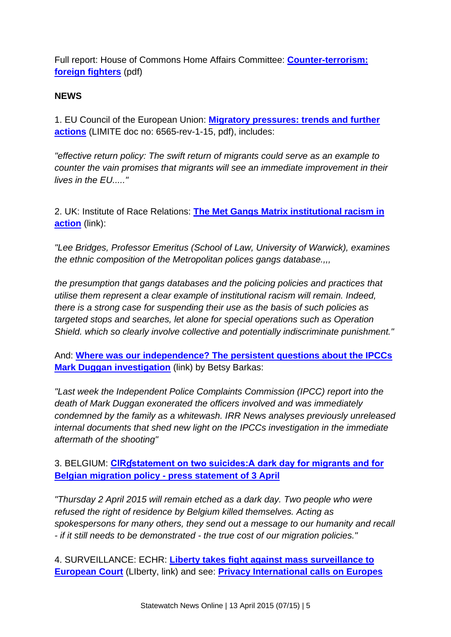Full report: House of Commons Home Affairs Committee: **[Counter-terrorism:](http://statewatch.org/news/2015/mar/uk-2015-03-26-hoc-foreign-fighters-report.pdf)  [foreign fighters](http://statewatch.org/news/2015/mar/uk-2015-03-26-hoc-foreign-fighters-report.pdf)** (pdf)

#### **NEWS**

1. EU Council of the European Union: **[Migratory pressures: trends and further](http://www.statewatch.org/news/2015/apr/eu-council-migratory-pressure-6565-rev1-15.pdf)  [actions](http://www.statewatch.org/news/2015/apr/eu-council-migratory-pressure-6565-rev1-15.pdf)** (LIMITE doc no: 6565-rev-1-15, pdf), includes:

*"effective return policy: The swift return of migrants could serve as an example to counter the vain promises that migrants will see an immediate improvement in their lives in the EU....."*

2. UK: Institute of Race Relations: **[The Met Gangs Matrix institutional racism in](http://www.irr.org.uk/news/the-met-gangs-matrix-institutional-racism-in-action/)  [action](http://www.irr.org.uk/news/the-met-gangs-matrix-institutional-racism-in-action/)** (link):

*"Lee Bridges, Professor Emeritus (School of Law, University of Warwick), examines the ethnic composition of the Metropolitan polices gangs database.,,,*

*the presumption that gangs databases and the policing policies and practices that utilise them represent a clear example of institutional racism will remain. Indeed, there is a strong case for suspending their use as the basis of such policies as targeted stops and searches, let alone for special operations such as Operation Shield. which so clearly involve collective and potentially indiscriminate punishment."*

And: **[Where was our independence? The persistent questions about the IPCCs](http://www.irr.org.uk/news/where-was-our-independence-the-persistent-questions-about-the-ipccs-mark-duggan-investigation/)  [Mark Duggan investigation](http://www.irr.org.uk/news/where-was-our-independence-the-persistent-questions-about-the-ipccs-mark-duggan-investigation/)** (link) by Betsy Barkas:

*"Last week the Independent Police Complaints Commission (IPCC) report into the death of Mark Duggan exonerated the officers involved and was immediately condemned by the family as a whitewash. IRR News analyses previously unreleased internal documents that shed new light on the IPCCs investigation in the immediate aftermath of the shooting"*

## 3. BELGIUM: **[CIRɠstatement on two suicides:A dark day for migrants and for](http://www.statewatch.org/news/2015/apr/belgium-cire-suicides.htm)  Belgian migration policy - [press statement of 3 April](http://www.statewatch.org/news/2015/apr/belgium-cire-suicides.htm)**

*"Thursday 2 April 2015 will remain etched as a dark day. Two people who were refused the right of residence by Belgium killed themselves. Acting as spokespersons for many others, they send out a message to our humanity and recall - if it still needs to be demonstrated - the true cost of our migration policies."*

4. SURVEILLANCE: ECHR: **[Liberty takes fight against mass surveillance to](https://www.liberty-human-rights.org.uk/news/press-releases/liberty-takes-fight-against-mass-surveillance-european-court)  [European Court](https://www.liberty-human-rights.org.uk/news/press-releases/liberty-takes-fight-against-mass-surveillance-european-court)** (LIberty, link) and see: **[Privacy International calls on Europes](https://www.privacyinternational.org/?q=node/555)**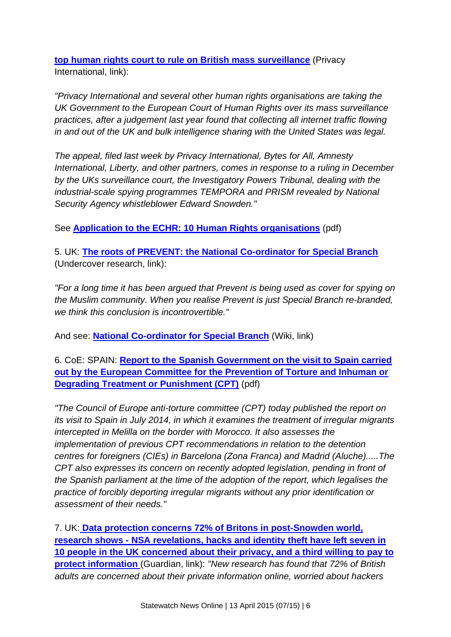**[top human rights court to rule on British mass surveillance](https://www.privacyinternational.org/?q=node/555)** (Privacy International, link):

*"Privacy International and several other human rights organisations are taking the UK Government to the European Court of Human Rights over its mass surveillance practices, after a judgement last year found that collecting all internet traffic flowing in and out of the UK and bulk intelligence sharing with the United States was legal.*

*The appeal, filed last week by Privacy International, Bytes for All, Amnesty International, Liberty, and other partners, comes in response to a ruling in December by the UKs surveillance court, the Investigatory Powers Tribunal, dealing with the industrial-scale spying programmes TEMPORA and PRISM revealed by National Security Agency whistleblower Edward Snowden."*

See **[Application to the ECHR: 10 Human Rights organisations](http://www.statewatch.org/news/2015/apr/uk-hr-orgs-echr-application.pdf)** (pdf)

5. UK: **[The roots of PREVENT: the National Co-ordinator for Special Branch](http://undercoverresearch.net/2015/04/08/575/)**  (Undercover research, link):

*"For a long time it has been argued that Prevent is being used as cover for spying on the Muslim community. When you realise Prevent is just Special Branch re-branded, we think this conclusion is incontrovertible."* 

And see: **[National Co-ordinator for Special Branch](http://powerbase.info/index.php/National_Co-ordinator_for_Special_Branch)** (Wiki, link)

6. CoE: SPAIN: **[Report to the Spanish Government on the visit to Spain carried](http://www.statewatch.org/news/2015/apr/coe-cpt-spain.pdf)  [out by the European Committee for the Prevention of Torture and Inhuman or](http://www.statewatch.org/news/2015/apr/coe-cpt-spain.pdf)  [Degrading Treatment or Punishment \(CPT\)](http://www.statewatch.org/news/2015/apr/coe-cpt-spain.pdf)** (pdf)

*"The Council of Europe anti-torture committee (CPT) today published the report on its visit to Spain in July 2014, in which it examines the treatment of irregular migrants intercepted in Melilla on the border with Morocco. It also assesses the implementation of previous CPT recommendations in relation to the detention centres for foreigners (CIEs) in Barcelona (Zona Franca) and Madrid (Aluche).....The CPT also expresses its concern on recently adopted legislation, pending in front of the Spanish parliament at the time of the adoption of the report, which legalises the practice of forcibly deporting irregular migrants without any prior identification or assessment of their needs."*

7. UK: **[Data protection concerns 72% of Britons in post-Snowden world,](http://www.theguardian.com/technology/2015/apr/09/data-protection-concerns-72-of-britons-in-post-snowden-world-research-shows)  research shows - [NSA revelations, hacks and identity theft have left seven in](http://www.theguardian.com/technology/2015/apr/09/data-protection-concerns-72-of-britons-in-post-snowden-world-research-shows)  [10 people in the UK concerned about their privacy, and a third willing to pay to](http://www.theguardian.com/technology/2015/apr/09/data-protection-concerns-72-of-britons-in-post-snowden-world-research-shows)  [protect information](http://www.theguardian.com/technology/2015/apr/09/data-protection-concerns-72-of-britons-in-post-snowden-world-research-shows)** (Guardian, link): *"New research has found that 72% of British adults are concerned about their private information online, worried about hackers*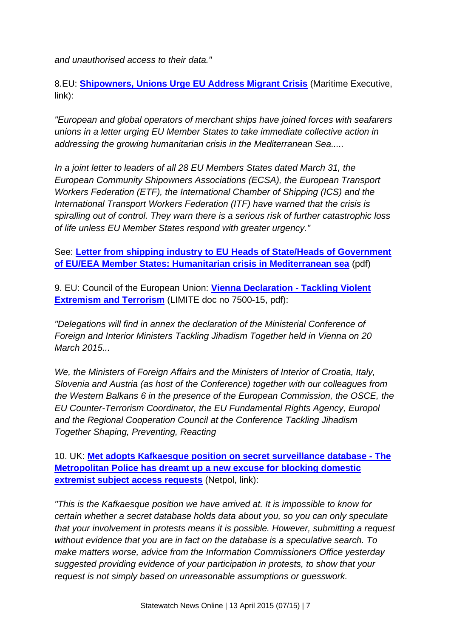*and unauthorised access to their data."*

8.EU: **[Shipowners, Unions Urge EU Address Migrant Crisis](http://www.maritime-executive.com/article/shipowners-unions-urge-eu-address-migrant-crisis)** (Maritime Executive, link):

*"European and global operators of merchant ships have joined forces with seafarers unions in a letter urging EU Member States to take immediate collective action in addressing the growing humanitarian crisis in the Mediterranean Sea.....*

*In a joint letter to leaders of all 28 EU Members States dated March 31, the European Community Shipowners Associations (ECSA), the European Transport Workers Federation (ETF), the International Chamber of Shipping (ICS) and the International Transport Workers Federation (ITF) have warned that the crisis is spiralling out of control. They warn there is a serious risk of further catastrophic loss of life unless EU Member States respond with greater urgency."*

See: **[Letter from shipping industry to EU Heads of State/Heads of Government](http://www.statewatch.org/news/2015/apr/eu-med-shipping-industry-letter-eu-heads-of-state.pdf)  [of EU/EEA Member States: Humanitarian crisis in Mediterranean sea](http://www.statewatch.org/news/2015/apr/eu-med-shipping-industry-letter-eu-heads-of-state.pdf)** (pdf)

9. EU: Council of the European Union: **[Vienna Declaration -](http://www.statewatch.org/news/2015/apr/eu-council-vienna-declaration-terrorism-7500-15.pdf) Tackling Violent [Extremism and Terrorism](http://www.statewatch.org/news/2015/apr/eu-council-vienna-declaration-terrorism-7500-15.pdf)** (LIMITE doc no 7500-15, pdf):

*"Delegations will find in annex the declaration of the Ministerial Conference of Foreign and Interior Ministers Tackling Jihadism Together held in Vienna on 20 March 2015...*

*We, the Ministers of Foreign Affairs and the Ministers of Interior of Croatia, Italy, Slovenia and Austria (as host of the Conference) together with our colleagues from the Western Balkans 6 in the presence of the European Commission, the OSCE, the EU Counter-Terrorism Coordinator, the EU Fundamental Rights Agency, Europol and the Regional Cooperation Council at the Conference Tackling Jihadism Together Shaping, Preventing, Reacting*

10. UK: **[Met adopts Kafkaesque position on secret surveillance database -](https://netpol.org/2015/04/08/kafkaesque-surveillance-database/) The [Metropolitan Police has dreamt up a new excuse for blocking domestic](https://netpol.org/2015/04/08/kafkaesque-surveillance-database/)  [extremist subject access requests](https://netpol.org/2015/04/08/kafkaesque-surveillance-database/)** (Netpol, link):

*"This is the Kafkaesque position we have arrived at. It is impossible to know for certain whether a secret database holds data about you, so you can only speculate that your involvement in protests means it is possible. However, submitting a request without evidence that you are in fact on the database is a speculative search. To make matters worse, advice from the Information Commissioners Office yesterday suggested providing evidence of your participation in protests, to show that your request is not simply based on unreasonable assumptions or guesswork.*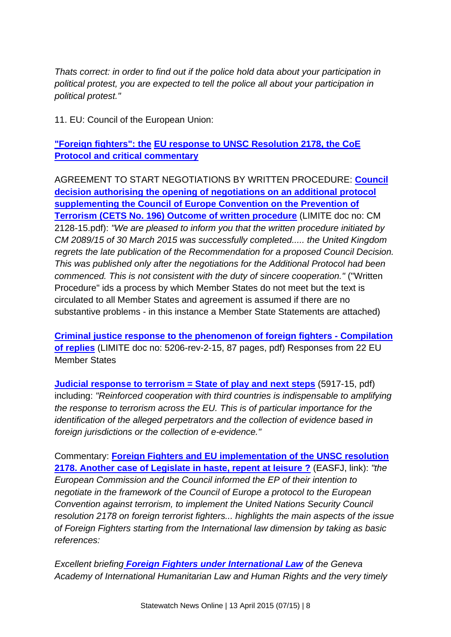*Thats correct: in order to find out if the police hold data about your participation in political protest, you are expected to tell the police all about your participation in political protest."*

11. EU: Council of the European Union:

**["Foreign fighters": the](http://www.statewatch.org/news/2015/apr/eu-response-ff-2178.htm) [EU response to UNSC Resolution 2178, the](http://www.statewatch.org/news/2015/apr/eu-response-ff-2178.htm) CoE [Protocol and critical commentary](http://www.statewatch.org/news/2015/apr/eu-response-ff-2178.htm)**

AGREEMENT TO START NEGOTIATIONS BY WRITTEN PROCEDURE: **[Council](http://www.statewatch.org/news/2015/apr/eu-council-ff-coe-protocol-2178-mandate-written-procedure-cm-02128-15.pdf)  [decision authorising the opening of negotiations on an additional protocol](http://www.statewatch.org/news/2015/apr/eu-council-ff-coe-protocol-2178-mandate-written-procedure-cm-02128-15.pdf)  [supplementing the Council of Europe Convention on the Prevention of](http://www.statewatch.org/news/2015/apr/eu-council-ff-coe-protocol-2178-mandate-written-procedure-cm-02128-15.pdf)  [Terrorism \(CETS No. 196\) Outcome of written procedure](http://www.statewatch.org/news/2015/apr/eu-council-ff-coe-protocol-2178-mandate-written-procedure-cm-02128-15.pdf)** (LIMITE doc no: CM 2128-15.pdf): *"We are pleased to inform you that the written procedure initiated by CM 2089/15 of 30 March 2015 was successfully completed..... the United Kingdom regrets the late publication of the Recommendation for a proposed Council Decision. This was published only after the negotiations for the Additional Protocol had been commenced. This is not consistent with the duty of sincere cooperation."* ("Written Procedure" ids a process by which Member States do not meet but the text is circulated to all Member States and agreement is assumed if there are no substantive problems - in this instance a Member State Statements are attached)

**[Criminal justice response to the phenomenon of foreign fighters -](http://www.statewatch.org/news/2015/apr/eu-council-ff-2178-ms-replies-5206-rev2-15.pdf) Compilation [of replies](http://www.statewatch.org/news/2015/apr/eu-council-ff-2178-ms-replies-5206-rev2-15.pdf)** (LIMITE doc no: 5206-rev-2-15, 87 pages, pdf) Responses from 22 EU Member States

**[Judicial response to terrorism = State of play and next steps](http://www.statewatch.org/news/2015/apr/eu-council-cats-prot-2178-state-of-play-5917-15.pdf)** (5917-15, pdf) including: *"Reinforced cooperation with third countries is indispensable to amplifying the response to terrorism across the EU. This is of particular importance for the identification of the alleged perpetrators and the collection of evidence based in foreign jurisdictions or the collection of e-evidence."*

Commentary: **[Foreign Fighters and EU implementation of the UNSC resolution](http://free-group.eu/2015/04/06/foreign-fighters-and-eu-implementation-of-the-unsc-resolution-2178-another-case-of-legislate-in-haste-repent-at-leisure-1/)  [2178. Another case of Legislate in haste, repent at leisure ?](http://free-group.eu/2015/04/06/foreign-fighters-and-eu-implementation-of-the-unsc-resolution-2178-another-case-of-legislate-in-haste-repent-at-leisure-1/)** (EASFJ, link): *"the European Commission and the Council informed the EP of their intention to negotiate in the framework of the Council of Europe a protocol to the European Convention against terrorism, to implement the United Nations Security Council resolution 2178 on foreign terrorist fighters... highlights the main aspects of the issue of Foreign Fighters starting from the International law dimension by taking as basic references:*

*Excellent briefing [Foreign Fighters under International Law](http://www.geneva-academy.ch/docs/publications/Briefings%20and%20In%20breifs/Foreign%20Fighters%20Under%20International%20Law%20Briefing%20no7.pdf) of the Geneva Academy of International Humanitarian Law and Human Rights and the very timely*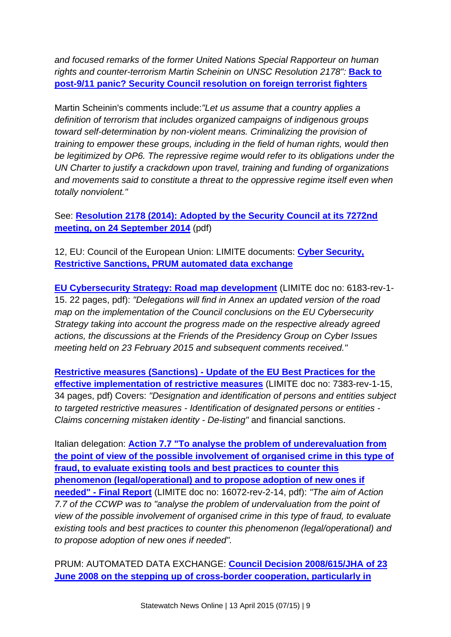*and focused remarks of the former United Nations Special Rapporteur on human rights and counter-terrorism Martin Scheinin on UNSC Resolution 2178": Back to* **[post-9/11 panic? Security Council resolution on foreign terrorist fighters](http://justsecurity.org/15407/post-911-panic-security-council-resolution-foreign-terrorist-fighters-scheinin/)**

Martin Scheinin's comments include:*"Let us assume that a country applies a definition of terrorism that includes organized campaigns of indigenous groups toward self-determination by non-violent means. Criminalizing the provision of training to empower these groups, including in the field of human rights, would then be legitimized by OP6. The repressive regime would refer to its obligations under the UN Charter to justify a crackdown upon travel, training and funding of organizations and movements said to constitute a threat to the oppressive regime itself even when totally nonviolent."*

See: **[Resolution 2178 \(2014\): Adopted by the Security Council at its 7272nd](http://www.statewatch.org/news/2015/apr/unsc-res-2178-14.pdf)  [meeting, on 24 September 2014](http://www.statewatch.org/news/2015/apr/unsc-res-2178-14.pdf)** (pdf)

12, EU: Council of the European Union: LIMITE documents: **[Cyber Security,](http://www.statewatch.org/news/2015/apr/eu-limite-docs-7-4-15.htm)  [Restrictive Sanctions, PRUM automated data exchange](http://www.statewatch.org/news/2015/apr/eu-limite-docs-7-4-15.htm)**

**[EU Cybersecurity Strategy: Road map development](http://www.statewatch.org/news/2015/apr/eu-council-cyber-security-roadmap-6183-rev1-15.pdf)** (LIMITE doc no: 6183-rev-1- 15. 22 pages, pdf): *"Delegations will find in Annex an updated version of the road map on the implementation of the Council conclusions on the EU Cybersecurity Strategy taking into account the progress made on the respective already agreed actions, the discussions at the Friends of the Presidency Group on Cyber Issues meeting held on 23 February 2015 and subsequent comments received."*

**Restrictive measures (Sanctions) - [Update of the EU Best Practices for the](http://www.statewatch.org/news/2015/apr/eu-council-eeas-restrictive-measures-practices-7383-rev1-15.pdf)  [effective implementation of restrictive measures](http://www.statewatch.org/news/2015/apr/eu-council-eeas-restrictive-measures-practices-7383-rev1-15.pdf)** (LIMITE doc no: 7383-rev-1-15, 34 pages, pdf) Covers: *"Designation and identification of persons and entities subject to targeted restrictive measures - Identification of designated persons or entities - Claims concerning mistaken identity - De-listing"* and financial sanctions.

Italian delegation: **[Action 7.7 "To analyse the problem of underevaluation from](http://www.statewatch.org/news/2015/apr/eu-council-customs-action7-Final-Report-16072-rev2-14.pdf)  [the point of view of the possible involvement of organised crime in this](http://www.statewatch.org/news/2015/apr/eu-council-customs-action7-Final-Report-16072-rev2-14.pdf) type of [fraud, to evaluate existing tools and best practices to counter this](http://www.statewatch.org/news/2015/apr/eu-council-customs-action7-Final-Report-16072-rev2-14.pdf)  [phenomenon \(legal/operational\) and to propose adoption of new ones if](http://www.statewatch.org/news/2015/apr/eu-council-customs-action7-Final-Report-16072-rev2-14.pdf)  needed" - [Final Report](http://www.statewatch.org/news/2015/apr/eu-council-customs-action7-Final-Report-16072-rev2-14.pdf)** (LIMITE doc no: 16072-rev-2-14, pdf): *"The aim of Action 7.7 of the CCWP was to "analyse the problem of undervaluation from the point of view of the possible involvement of organised crime in this type of fraud, to evaluate existing tools and best practices to counter this phenomenon (legal/operational) and to propose adoption of new ones if needed".*

PRUM: AUTOMATED DATA EXCHANGE: **[Council Decision 2008/615/JHA of 23](http://www.statewatch.org/news/2015/apr/eu-council-prum-statistics-5503-rev2-15.pdf)  [June 2008 on the stepping up of cross-border cooperation, particularly in](http://www.statewatch.org/news/2015/apr/eu-council-prum-statistics-5503-rev2-15.pdf)**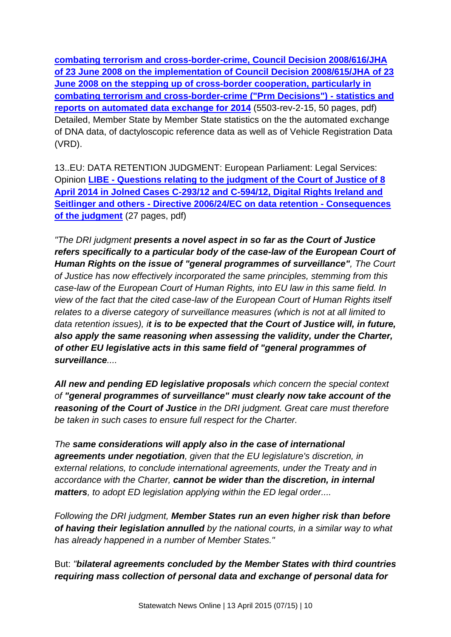**[combating terrorism and cross-border-crime, Council Decision 2008/616/JHA](http://www.statewatch.org/news/2015/apr/eu-council-prum-statistics-5503-rev2-15.pdf)  [of 23 June 2008 on the implementation of Council Decision 2008/615/JHA of 23](http://www.statewatch.org/news/2015/apr/eu-council-prum-statistics-5503-rev2-15.pdf)  [June 2008 on the stepping up of cross-border cooperation, particularly in](http://www.statewatch.org/news/2015/apr/eu-council-prum-statistics-5503-rev2-15.pdf)  [combating terrorism and cross-border-crime \("Prm Decisions"\) -](http://www.statewatch.org/news/2015/apr/eu-council-prum-statistics-5503-rev2-15.pdf) statistics and [reports on automated data exchange for 2014](http://www.statewatch.org/news/2015/apr/eu-council-prum-statistics-5503-rev2-15.pdf)** (5503-rev-2-15, 50 pages, pdf) Detailed, Member State by Member State statistics on the the automated exchange of DNA data, of dactyloscopic reference data as well as of Vehicle Registration Data (VRD).

13..EU: DATA RETENTION JUDGMENT: European Parliament: Legal Services: Opinion **LIBE - [Questions relating to the judgment of the Court of Justice of 8](http://www.statewatch.org/news/2015/apr/ep-ls-opinion-digital-rights-judgment.pdf)  [April 2014 in Jolned Cases C-293/12 and C-594/12, Digital Rights Ireland and](http://www.statewatch.org/news/2015/apr/ep-ls-opinion-digital-rights-judgment.pdf)  Seitlinger and others - [Directive 2006/24/EC on data retention -](http://www.statewatch.org/news/2015/apr/ep-ls-opinion-digital-rights-judgment.pdf) Consequences [of the judgment](http://www.statewatch.org/news/2015/apr/ep-ls-opinion-digital-rights-judgment.pdf)** (27 pages, pdf)

*"The DRI judgment presents a novel aspect in so far as the Court of Justice refers specifically to a particular body of the case-law of the European Court of Human Rights on the issue of "general programmes of surveillance", The Court of Justice has now effectively incorporated the same principles, stemming from this case-law of the European Court of Human Rights, into EU law in this same field. In view of the fact that the cited case-law of the European Court of Human Rights itself relates to a diverse category of surveillance measures (which is not at all limited to data retention issues), it is to be expected that the Court of Justice will, in future, also apply the same reasoning when assessing the validity, under the Charter, of other EU legislative acts in this same field of "general programmes of surveillance....*

*All new and pending ED legislative proposals which concern the special context of "general programmes of surveillance" must clearly now take account of the reasoning of the Court of Justice in the DRI judgment. Great care must therefore be taken in such cases to ensure full respect for the Charter.*

*The same considerations will apply also in the case of international agreements under negotiation, given that the EU legislature's discretion, in external relations, to conclude international agreements, under the Treaty and in accordance with the Charter, cannot be wider than the discretion, in internal matters, to adopt ED legislation applying within the ED legal order....*

*Following the DRI judgment, Member States run an even higher risk than before of having their legislation annulled by the national courts, in a similar way to what has already happened in a number of Member States."*

But: *"bilateral agreements concluded by the Member States with third countries requiring mass collection of personal data and exchange of personal data for*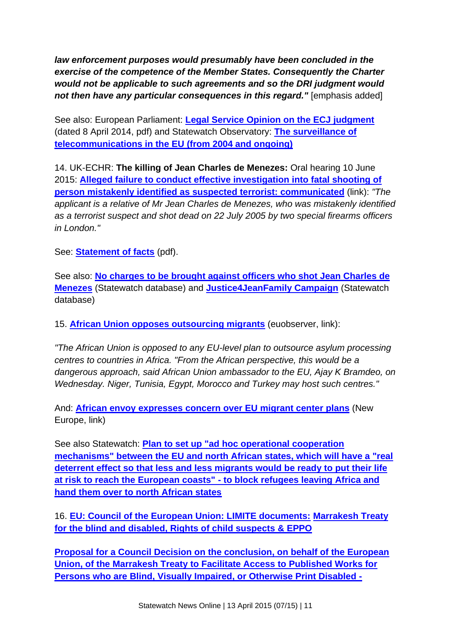*law enforcement purposes would presumably have been concluded in the exercise of the competence of the Member States. Consequently the Charter would not be applicable to such agreements and so the DRI judgment would not then have any particular consequences in this regard.*" [emphasis added]

See also: European Parliament: **[Legal Service Opinion on the ECJ judgment](http://www.statewatch.org/news/2014/apr/ep-ls-mand-ret-judgment.pdf)** (dated 8 April 2014, pdf) and Statewatch Observatory: **[The surveillance of](http://www.statewatch.org/eu-data-retention.htm)  [telecommunications in the EU \(from 2004 and ongoing\)](http://www.statewatch.org/eu-data-retention.htm)**

14. UK-ECHR: **The killing of Jean Charles de Menezes:** Oral hearing 10 June 2015: **[Alleged failure to conduct effective investigation into fatal shooting of](http://hudoc.echr.coe.int/sites/eng/pages/search.aspx?i=002-1079#%7B%22itemid%22:[%22002-1079%22]%7D)  [person mistakenly identified as suspected terrorist: communicated](http://hudoc.echr.coe.int/sites/eng/pages/search.aspx?i=002-1079#%7B%22itemid%22:[%22002-1079%22]%7D)** (link): *"The applicant is a relative of Mr Jean Charles de Menezes, who was mistakenly identified as a terrorist suspect and shot dead on 22 July 2005 by two special firearms officers in London."*

See: **[Statement of facts](http://www.statewatch.org/news/2015/apr/uk-echr-ARMANI-DA-SILVA-v-THE%20UNITED-KINGDOM-statement-of-facts.pdf)** (pdf).

See also: **[No charges to be brought against officers who shot Jean Charles de](http://database.statewatch.org/article.asp?aid=27880)  [Menezes](http://database.statewatch.org/article.asp?aid=27880)** (Statewatch database) and **[Justice4JeanFamily Campaign](http://www.statewatch.org/news/2007/aug/menezes-famil%3By-statement.pdf)** (Statewatch database)

15. **[African Union opposes outsourcing migrants](https://euobserver.com/tickers/128226)** (euobserver, link):

*"The African Union is opposed to any EU-level plan to outsource asylum processing centres to countries in Africa. "From the African perspective, this would be a dangerous approach, said African Union ambassador to the EU, Ajay K Bramdeo, on Wednesday. Niger, Tunisia, Egypt, Morocco and Turkey may host such centres."*

And: **[African envoy expresses concern](http://www.neurope.eu/article/african-envoy-expresses-concern-over-eu-migrant-center-plans) over EU migrant center plans** (New Europe, link)

See also Statewatch: **[Plan to set up "ad hoc operational cooperation](http://www.statewatch.org/news/2015/mar/eu-med-plan.htm)  [mechanisms" between the EU and north African states, which will have a "real](http://www.statewatch.org/news/2015/mar/eu-med-plan.htm)  [deterrent effect so that less and less migrants would be ready to put their life](http://www.statewatch.org/news/2015/mar/eu-med-plan.htm)  [at risk to reach the European coasts" -](http://www.statewatch.org/news/2015/mar/eu-med-plan.htm) to block refugees leaving Africa and [hand them over to north African states](http://www.statewatch.org/news/2015/mar/eu-med-plan.htm)**

16. **[EU: Council of the European Union: LIMITE documents:](http://www.statewatch.org/news/2015/apr/council-limite-documents-1.htm) [Marrakesh Treaty](http://www.statewatch.org/news/2015/apr/council-limite-documents-1.htm)  [for the blind and disabled, Rights of child suspects & EPPO](http://www.statewatch.org/news/2015/apr/council-limite-documents-1.htm)**

**[Proposal for a Council Decision on the conclusion, on behalf of the European](http://www.statewatch.org/news/2015/apr/eu-council-marrakesh-treaty-guidance-7321-15.pdf)  [Union, of the Marrakesh Treaty to Facilitate Access to Published Works for](http://www.statewatch.org/news/2015/apr/eu-council-marrakesh-treaty-guidance-7321-15.pdf)  [Persons who are Blind, Visually Impaired, or Otherwise Print Disabled -](http://www.statewatch.org/news/2015/apr/eu-council-marrakesh-treaty-guidance-7321-15.pdf)**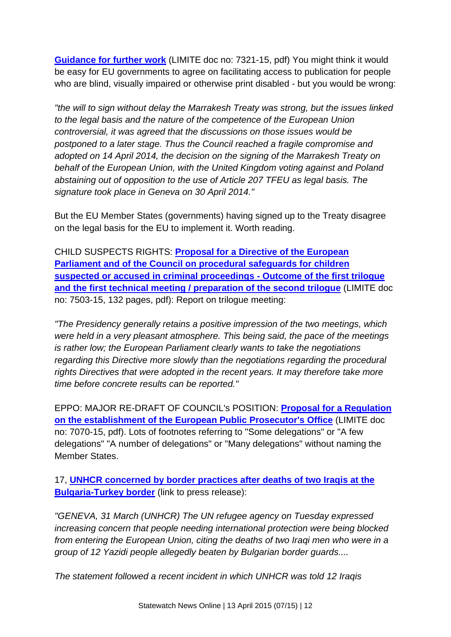**[Guidance for further work](http://www.statewatch.org/news/2015/apr/eu-council-marrakesh-treaty-guidance-7321-15.pdf)** (LIMITE doc no: 7321-15, pdf) You might think it would be easy for EU governments to agree on facilitating access to publication for people who are blind, visually impaired or otherwise print disabled - but you would be wrong:

*"the will to sign without delay the Marrakesh Treaty was strong, but the issues linked to the legal basis and the nature of the competence of the European Union controversial, it was agreed that the discussions on those issues would be postponed to a later stage. Thus the Council reached a fragile compromise and adopted on 14 April 2014, the decision on the signing of the Marrakesh Treaty on behalf of the European Union, with the United Kingdom voting against and Poland abstaining out of opposition to the use of Article 207 TFEU as legal basis. The signature took place in Geneva on 30 April 2014."*

But the EU Member States (governments) having signed up to the Treaty disagree on the legal basis for the EU to implement it. Worth reading.

CHILD SUSPECTS RIGHTS: **[Proposal for a Directive of the European](http://www.statewatch.org/news/2015/apr/eu-council-children-sfeguards-outcome-trilogue-multi-col-7503-15.pdf)  Parliament [and of the Council on procedural safeguards for children](http://www.statewatch.org/news/2015/apr/eu-council-children-sfeguards-outcome-trilogue-multi-col-7503-15.pdf)  [suspected or accused in criminal proceedings -](http://www.statewatch.org/news/2015/apr/eu-council-children-sfeguards-outcome-trilogue-multi-col-7503-15.pdf) Outcome of the first trilogue [and the first technical meeting / preparation of the second trilogue](http://www.statewatch.org/news/2015/apr/eu-council-children-sfeguards-outcome-trilogue-multi-col-7503-15.pdf)** (LIMITE doc no: 7503-15, 132 pages, pdf): Report on trilogue meeting:

*"The Presidency generally retains a positive impression of the two meetings, which were held in a very pleasant atmosphere. This being said, the pace of the meetings is rather low; the European Parliament clearly wants to take the negotiations regarding this Directive more slowly than the negotiations regarding the procedural rights Directives that were adopted in the recent years. It may therefore take more time before concrete results can be reported."*

EPPO: MAJOR RE-DRAFT OF COUNCIL's POSITION: **[Proposal for a Regulation](http://www.statewatch.org/news/2015/apr/eu-council-eppo-redraft-7070-15.pdf)  [on the establishment of the European Public Prosecutor's Office](http://www.statewatch.org/news/2015/apr/eu-council-eppo-redraft-7070-15.pdf)** (LIMITE doc no: 7070-15, pdf). Lots of footnotes referring to "Some delegations" or "A few delegations" "A number of delegations" or "Many delegations" without naming the Member States.

17, **[UNHCR concerned by border practices after deaths of two Iraqis at the](http://www.unhcr.org/551abb606.html)  [Bulgaria-Turkey border](http://www.unhcr.org/551abb606.html)** (link to press release):

*"GENEVA, 31 March (UNHCR) The UN refugee agency on Tuesday expressed increasing concern that people needing international protection were being blocked from entering the European Union, citing the deaths of two Iraqi men who were in a group of 12 Yazidi people allegedly beaten by Bulgarian border guards....*

*The statement followed a recent incident in which UNHCR was told 12 Iraqis*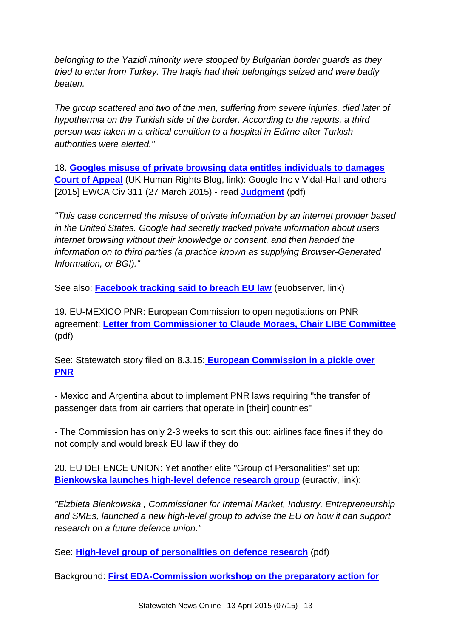*belonging to the Yazidi minority were stopped by Bulgarian border guards as they tried to enter from Turkey. The Iraqis had their belongings seized and were badly beaten.*

*The group scattered and two of the men, suffering from severe injuries, died later of hypothermia on the Turkish side of the border. According to the reports, a third person was taken in a critical condition to a hospital in Edirne after Turkish authorities were alerted."*

18. **[Googles misuse of private browsing data entitles individuals to damages](http://ukhumanrightsblog.com/2015/03/31/googles-misuse-of-private-browsing-data-entitles-individuals-to-damages-court-of-appeal/)  [Court of Appeal](http://ukhumanrightsblog.com/2015/03/31/googles-misuse-of-private-browsing-data-entitles-individuals-to-damages-court-of-appeal/)** (UK Human Rights Blog, link): Google Inc v Vidal-Hall and others [2015] EWCA Civ 311 (27 March 2015) - read **[Judgment](http://www.statewatch.org/news/2015/apr/uk-google-appeal-judgment.pdf)** (pdf)

*"This case concerned the misuse of private information by an internet provider based in the United States. Google had secretly tracked private information about users internet browsing without their knowledge or consent, and then handed the information on to third parties (a practice known as supplying Browser-Generated Information, or BGI)."*

See also: **[Facebook tracking said to breach EU law](https://euobserver.com/justice/128223)** (euobserver, link)

19. EU-MEXICO PNR: European Commission to open negotiations on PNR agreement: **[Letter from Commissioner to Claude Moraes, Chair LIBE Committee](http://www.statewatch.org/news/2015/mar/eu-com-mexico-pnr-letter.pdf)** (pdf)

See: Statewatch story filed on 8.3.15: **[European Commission in a pickle over](http://www.statewatch.org/news/2015/mar/eu-mexico-agentina-pnr.htm)  [PNR](http://www.statewatch.org/news/2015/mar/eu-mexico-agentina-pnr.htm)**

**-** Mexico and Argentina about to implement PNR laws requiring "the transfer of passenger data from air carriers that operate in [their] countries"

- The Commission has only 2-3 weeks to sort this out: airlines face fines if they do not comply and would break EU law if they do

20. EU DEFENCE UNION: Yet another elite "Group of Personalities" set up: **[Bienkowska launches high-level defence research group](http://www.euractiv.com/sections/global-europe/bienkowska-launches-high-level-defence-research-group-313393)** (euractiv, link):

*"Elzbieta Bienkowska , Commissioner for Internal Market, Industry, Entrepreneurship and SMEs, launched a new high-level group to advise the EU on how it can support research on a future defence union."*

See: **[High-level group of personalities on defence research](http://www.statewatch.org/news/2015/mar/eu-com-high-level-group-personalities-defence-research.pdf)** (pdf)

Background: **[First EDA-Commission workshop on the preparatory action for](https://www.eda.europa.eu/info-hub/news/2014/11/25/first-eda-commission-workshop-on-the-preparatory-action-for-csdp-related-research)**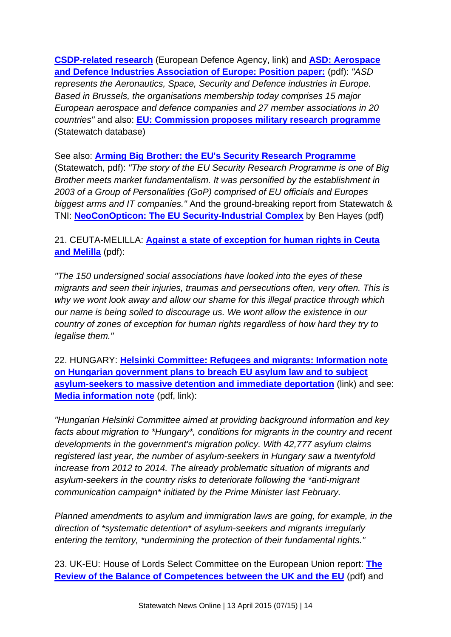**[CSDP-related research](https://www.eda.europa.eu/info-hub/news/2014/11/25/first-eda-commission-workshop-on-the-preparatory-action-for-csdp-related-research)** (European Defence Agency, link) and **[ASD: Aerospace](http://www.statewatch.org/news/2015/mar/eu-com-defence-plans-asd-position-paper.pdf)  [and Defence Industries Association of Europe: Position paper:](http://www.statewatch.org/news/2015/mar/eu-com-defence-plans-asd-position-paper.pdf)** (pdf): *"ASD represents the Aeronautics, Space, Security and Defence industries in Europe. Based in Brussels, the organisations membership today comprises 15 major European aerospace and defence companies and 27 member associations in 20 countries"* and also: **[EU: Commission proposes military research programme](http://database.statewatch.org/article.asp?aid=33894)** (Statewatch database)

See also: **[Arming Big Brother: the EU's Security Research Programme](http://www.statewatch.org/news/2006/apr/bigbrother.pdf)** (Statewatch, pdf): *"The story of the EU Security Research Programme is one of Big Brother meets market fundamentalism. It was personified by the establishment in 2003 of a Group of Personalities (GoP) comprised of EU officials and Europes biggest arms and IT companies."* And the ground-breaking report from Statewatch & TNI: **[NeoConOpticon: The EU Security-Industrial Complex](http://www.statewatch.org/analyses/neoconopticon-report.pdf)** by Ben Hayes (pdf)

21. CEUTA-MELILLA: **[Against a state of exception for human rights in Ceuta](http://www.statewatch.org/news/2015/mar/ceuta-melilla-appeal.pdf)  [and Melilla](http://www.statewatch.org/news/2015/mar/ceuta-melilla-appeal.pdf)** (pdf):

*"The 150 undersigned social associations have looked into the eyes of these migrants and seen their injuries, traumas and persecutions often, very often. This is why we wont look away and allow our shame for this illegal practice through which our name is being soiled to discourage us. We wont allow the existence in our country of zones of exception for human rights regardless of how hard they try to legalise them."*

22. HUNGARY: **[Helsinki Committee: Refugees and migrants: Information note](http://helsinki.hu/en/information-note-government-plans-to-breach-eu-asylum-law)  [on Hungarian government plans to breach EU asylum law and to subject](http://helsinki.hu/en/information-note-government-plans-to-breach-eu-asylum-law)  [asylum-seekers to massive detention and immediate deportation](http://helsinki.hu/en/information-note-government-plans-to-breach-eu-asylum-law)** (link) and see: **[Media information note](http://helsinki.hu/wp-content/uploads/Asylum-2015-Hungary-press-info-4March2015.pdf)** (pdf, link):

*"Hungarian Helsinki Committee aimed at providing background information and key facts about migration to \*Hungary\*, conditions for migrants in the country and recent developments in the government's migration policy. With 42,777 asylum claims registered last year, the number of asylum-seekers in Hungary saw a twentyfold increase from 2012 to 2014. The already problematic situation of migrants and asylum-seekers in the country risks to deteriorate following the \*anti-migrant communication campaign\* initiated by the Prime Minister last February.*

*Planned amendments to asylum and immigration laws are going, for example, in the direction of \*systematic detention\* of asylum-seekers and migrants irregularly entering the territory, \*undermining the protection of their fundamental rights."*

23. UK-EU: House of Lords Select Committee on the European Union report: **[The](http://www.statewatch.org/news/2015/mar/uk-eu-balance-of-competencies-report.pdf)  [Review of the Balance of Competences between the UK and the EU](http://www.statewatch.org/news/2015/mar/uk-eu-balance-of-competencies-report.pdf)** (pdf) and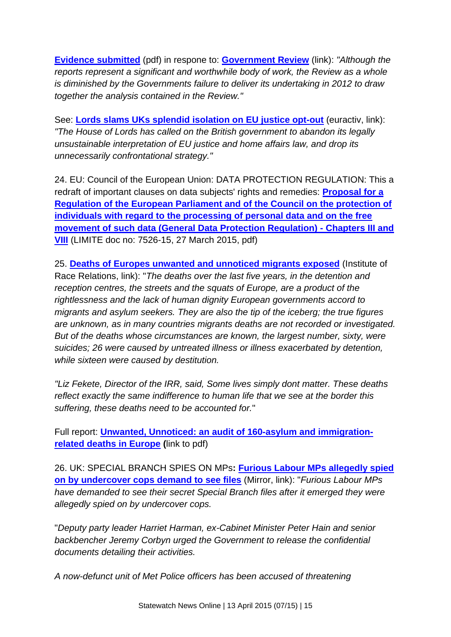**[Evidence submitted](http://www.statewatch.org/news/2015/mar/uk-eu-balance-of-competencies-evidence.pdf)** (pdf) in respone to: **[Government Review](https://www.gov.uk/government/uploads/system/uploads/attachment_data/file/35431/eu-balance-of-competences-review.pdf)** (link): *"Although the reports represent a significant and worthwhile body of work, the Review as a whole is diminished by the Governments failure to deliver its undertaking in 2012 to draw together the analysis contained in the Review."*

See: **[Lords slams UKs splendid isolation on EU justice opt-out](http://www.euractiv.com/sections/uk-europe/lords-slams-uks-splending-isolation-eu-justice-opt-out-313211)** (euractiv, link): *"The House of Lords has called on the British government to abandon its legally unsustainable interpretation of EU justice and home affairs law, and drop its unnecessarily confrontational strategy."*

24. EU: Council of the European Union: DATA PROTECTION REGULATION: This a redraft of important clauses on data subjects' rights and remedies: **[Proposal for a](http://www.statewatch.org/news/2015/mar/eu-council-dp-reg-chap-III-VIII-7526-15.pdf)  [Regulation of the European Parliament and of the Council on the protection of](http://www.statewatch.org/news/2015/mar/eu-council-dp-reg-chap-III-VIII-7526-15.pdf)  [individuals with regard to the processing of personal data and on the free](http://www.statewatch.org/news/2015/mar/eu-council-dp-reg-chap-III-VIII-7526-15.pdf)  [movement of such data \(General Data Protection Regulation\) -](http://www.statewatch.org/news/2015/mar/eu-council-dp-reg-chap-III-VIII-7526-15.pdf) Chapters III and [VIII](http://www.statewatch.org/news/2015/mar/eu-council-dp-reg-chap-III-VIII-7526-15.pdf)** (LIMITE doc no: 7526-15, 27 March 2015, pdf)

25. **[Deaths of Europes unwanted and unnoticed migrants exposed](http://www.irr.org.uk/news/deaths-of-europes-unwanted-and-unnoticed-migrants-exposed/)** (Institute of Race Relations, link): "*The deaths over the last five years, in the detention and reception centres, the streets and the squats of Europe, are a product of the rightlessness and the lack of human dignity European governments accord to migrants and asylum seekers. They are also the tip of the iceberg; the true figures are unknown, as in many countries migrants deaths are not recorded or investigated. But of the deaths whose circumstances are known, the largest number, sixty, were suicides; 26 were caused by untreated illness or illness exacerbated by detention, while sixteen were caused by destitution.*

*"Liz Fekete, Director of the IRR, said, Some lives simply dont matter. These deaths reflect exactly the same indifference to human life that we see at the border this suffering, these deaths need to be accounted for.*"

Full report: **[Unwanted, Unnoticed: an audit of 160-asylum and immigration](http://www.irr.org.uk/wp-content/uploads/2015/03/ERP-Briefing-Paper-No-10-FINAL.pdf)[related deaths in Europe](http://www.irr.org.uk/wp-content/uploads/2015/03/ERP-Briefing-Paper-No-10-FINAL.pdf) (**link to pdf)

26. UK: SPECIAL BRANCH SPIES ON MPs**: [Furious Labour MPs allegedly spied](http://www.mirror.co.uk/news/uk-news/furious-labour-mps-allegedly-spied-5406565)  [on by undercover cops demand to see files](http://www.mirror.co.uk/news/uk-news/furious-labour-mps-allegedly-spied-5406565)** (Mirror, link): "*Furious Labour MPs have demanded to see their secret Special Branch files after it emerged they were allegedly spied on by undercover cops.*

"*Deputy party leader Harriet Harman, ex-Cabinet Minister Peter Hain and senior backbencher Jeremy Corbyn urged the Government to release the confidential documents detailing their activities.*

*A now-defunct unit of Met Police officers has been accused of threatening*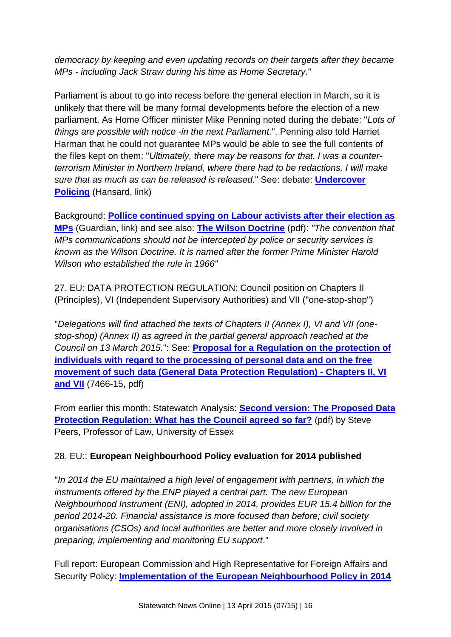*democracy by keeping and even updating records on their targets after they became MPs - including Jack Straw during his time as Home Secretary.*"

Parliament is about to go into recess before the general election in March, so it is unlikely that there will be many formal developments before the election of a new parliament. As Home Officer minister Mike Penning noted during the debate: "*Lots of things are possible with notice -in the next Parliament.*". Penning also told Harriet Harman that he could not guarantee MPs would be able to see the full contents of the files kept on them: "*Ultimately, there may be reasons for that. I was a counterterrorism Minister in Northern Ireland, where there had to be redactions. I will make sure that as much as can be released is released.*" See: debate: **[Undercover](http://www.publications.parliament.uk/pa/cm201415/cmhansrd/cm150326/debtext/150326-0001.htm#150326-0001.htm_spnew107)  [Policing](http://www.publications.parliament.uk/pa/cm201415/cmhansrd/cm150326/debtext/150326-0001.htm#150326-0001.htm_spnew107)** (Hansard, link)

Background: **[Pollice continued spying on Labour activists after their election as](http://www.theguardian.com/uk-news/2015/mar/25/police-spied-on-labour-mps-whistleblower)  [MPs](http://www.theguardian.com/uk-news/2015/mar/25/police-spied-on-labour-mps-whistleblower)** (Guardian, link) and see also: **[The Wilson Doctrine](http://www.statewatch.org/news/2015/mar/uk-the-wilson-doctrine.pdf)** (pdf): *"The convention that MPs communications should not be intercepted by police or security services is known as the Wilson Doctrine. It is named after the former Prime Minister Harold Wilson who established the rule in 1966"*

27. EU: DATA PROTECTION REGULATION: Council position on Chapters II (Principles), VI (Independent Supervisory Authorities) and VII ("one-stop-shop")

"*Delegations will find attached the texts of Chapters II (Annex I), VI and VII (onestop-shop) (Annex II) as agreed in the partial general approach reached at the Council on 13 March 2015.*": See: **[Proposal for a Regulation on the protection of](http://statewatch.org/news/2015/mar/eu-council-2015-03-07466-dp-regulations-chapters-ii-vi-viii.pdf)  [individuals with regard to the processing of personal data and on the free](http://statewatch.org/news/2015/mar/eu-council-2015-03-07466-dp-regulations-chapters-ii-vi-viii.pdf)  [movement of such data \(General Data Protection Regulation\) -](http://statewatch.org/news/2015/mar/eu-council-2015-03-07466-dp-regulations-chapters-ii-vi-viii.pdf) Chapters II, VI [and VII](http://statewatch.org/news/2015/mar/eu-council-2015-03-07466-dp-regulations-chapters-ii-vi-viii.pdf)** (7466-15, pdf)

From earlier this month: Statewatch Analysis: **[Second version: The Proposed Data](http://statewatch.org/analyses/no-264-march-15-data-protection-reg.pdf)  [Protection Regulation: What has the Council agreed so far?](http://statewatch.org/analyses/no-264-march-15-data-protection-reg.pdf)** (pdf) by Steve Peers, Professor of Law, University of Essex

# 28. EU:: **European Neighbourhood Policy evaluation for 2014 published**

"*In 2014 the EU maintained a high level of engagement with partners, in which the instruments offered by the ENP played a central part. The new European Neighbourhood Instrument (ENI), adopted in 2014, provides EUR 15.4 billion for the period 2014-20. Financial assistance is more focused than before; civil society organisations (CSOs) and local authorities are better and more closely involved in preparing, implementing and monitoring EU support*."

Full report: European Commission and High Representative for Foreign Affairs and Security Policy: **[Implementation of the European Neighbourhood Policy in 2014](http://statewatch.org/news/2015/mar/eu-com-2015-03-implementation-neighbourhood-policy-2014.pdf)**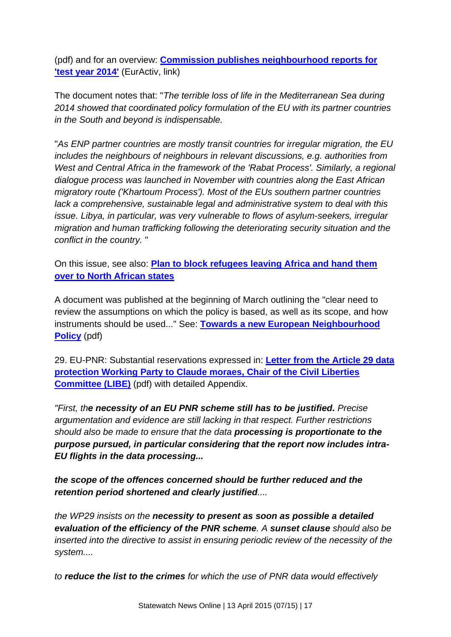(pdf) and for an overview: **[Commission publishes neighbourhood reports for](http://www.euractiv.com/sections/europes-east/commission-publishes-neighbourhood-reports-test-year-2014-313252)  ['test year 2014'](http://www.euractiv.com/sections/europes-east/commission-publishes-neighbourhood-reports-test-year-2014-313252)** (EurActiv, link)

The document notes that: "*The terrible loss of life in the Mediterranean Sea during 2014 showed that coordinated policy formulation of the EU with its partner countries in the South and beyond is indispensable.*

"*As ENP partner countries are mostly transit countries for irregular migration, the EU includes the neighbours of neighbours in relevant discussions, e.g. authorities from West and Central Africa in the framework of the 'Rabat Process'. Similarly, a regional dialogue process was launched in November with countries along the East African migratory route ('Khartoum Process'). Most of the EUs southern partner countries lack a comprehensive, sustainable legal and administrative system to deal with this issue. Libya, in particular, was very vulnerable to flows of asylum-seekers, irregular migration and human trafficking following the deteriorating security situation and the conflict in the country.* "

On this issue, see also: **[Plan to block refugees leaving Africa and hand them](http://www.statewatch.org/news/news/2015/mar/eu-med-plan.htm)  [over to North African states](http://www.statewatch.org/news/news/2015/mar/eu-med-plan.htm)**

A document was published at the beginning of March outlining the "clear need to review the assumptions on which the policy is based, as well as its scope, and how instruments should be used..." See: **[Towards a new European Neighbourhood](http://statewatch.org/news/2015/mar/eu-com-2015-03-04-towards-new-neighbourhood-policy.pdf)  [Policy](http://statewatch.org/news/2015/mar/eu-com-2015-03-04-towards-new-neighbourhood-policy.pdf)** (pdf)

29. EU-PNR: Substantial reservations expressed in: **[Letter from the Article 29 data](http://www.statewatch.org/news/2015/mar/eu-pnr-letter-art-29-wp-to-chair-libe.pdf)  [protection Working Party to Claude moraes, Chair of the Civil Liberties](http://www.statewatch.org/news/2015/mar/eu-pnr-letter-art-29-wp-to-chair-libe.pdf)  [Committee \(LIBE\)](http://www.statewatch.org/news/2015/mar/eu-pnr-letter-art-29-wp-to-chair-libe.pdf)** (pdf) with detailed Appendix.

*"First, the necessity of an EU PNR scheme still has to be justified. Precise argumentation and evidence are still lacking in that respect. Further restrictions should also be made to ensure that the data processing is proportionate to the purpose pursued, in particular considering that the report now includes intra-EU flights in the data processing...*

*the scope of the offences concerned should be further reduced and the retention period shortened and clearly justified....*

*the WP29 insists on the necessity to present as soon as possible a detailed evaluation of the efficiency of the PNR scheme. A sunset clause should also be inserted into the directive to assist in ensuring periodic review of the necessity of the system....*

*to reduce the list to the crimes for which the use of PNR data would effectively*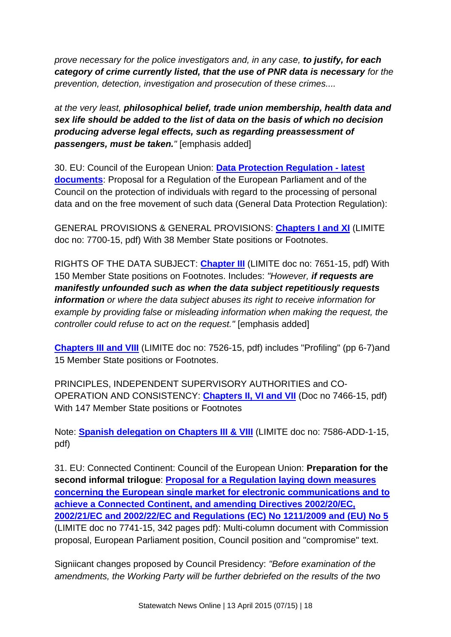*prove necessary for the police investigators and, in any case, to justify, for each category of crime currently listed, that the use of PNR data is necessary for the prevention, detection, investigation and prosecution of these crimes....*

*at the very least, philosophical belief, trade union membership, health data and sex life should be added to the list of data on the basis of which no decision producing adverse legal effects, such as regarding preassessment of passengers, must be taken.* " [emphasis added]

30. EU: Council of the European Union: **[Data Protection Regulation -](http://www.statewatch.org/news/2015/apr/eu-dp-reg-april.htm) latest [documents](http://www.statewatch.org/news/2015/apr/eu-dp-reg-april.htm)**: Proposal for a Regulation of the European Parliament and of the Council on the protection of individuals with regard to the processing of personal data and on the free movement of such data (General Data Protection Regulation):

GENERAL PROVISIONS & GENERAL PROVISIONS: **[Chapters I and XI](http://www.statewatch.org/news/2015/apr/eu-council-dp-reg-chap-I-XI-7700-15.pdf)** (LIMITE doc no: 7700-15, pdf) With 38 Member State positions or Footnotes.

RIGHTS OF THE DATA SUBJECT: **[Chapter III](http://www.statewatch.org/news/2015/apr/eu-council-dp-reg-chap-III-7651-15.pdf)** (LIMITE doc no: 7651-15, pdf) With 150 Member State positions on Footnotes. Includes: *"However, if requests are manifestly unfounded such as when the data subject repetitiously requests information or where the data subject abuses its right to receive information for example by providing false or misleading information when making the request, the controller could refuse to act on the request."* [emphasis added]

**[Chapters III and VIII](http://www.statewatch.org/news/2015/apr/eu-council-dp-reg-chaps-III-VIII-7526-15.pdf)** (LIMITE doc no: 7526-15, pdf) includes "Profiling" (pp 6-7)and 15 Member State positions or Footnotes.

PRINCIPLES, INDEPENDENT SUPERVISORY AUTHORITIES and CO-OPERATION AND CONSISTENCY: **[Chapters II, VI and VII](http://www.statewatch.org/news/2015/apr/eu-council-dp-reg-chaps-II-VI-VII-7466-15.pdf)** (Doc no 7466-15, pdf) With 147 Member State positions or Footnotes

Note: **[Spanish delegation on Chapters III & VIII](http://www.statewatch.org/news/2015/apr/eu-council-dp-reg-chap-III-VIII-es-7586-add-15.pdf)** (LIMITE doc no: 7586-ADD-1-15, pdf)

31. EU: Connected Continent: Council of the European Union: **Preparation for the second informal trilogue**: **[Proposal for a Regulation laying down measures](http://www.statewatch.org/news/2015/apr/eu-council-connected-continent-second-trilogue-7741-15.pdf)  [concerning the European single market for electronic communications and to](http://www.statewatch.org/news/2015/apr/eu-council-connected-continent-second-trilogue-7741-15.pdf)  [achieve a Connected Continent, and amending Directives 2002/20/EC,](http://www.statewatch.org/news/2015/apr/eu-council-connected-continent-second-trilogue-7741-15.pdf)  [2002/21/EC and 2002/22/EC and Regulations \(EC\) No 1211/2009 and \(EU\) No 5](http://www.statewatch.org/news/2015/apr/eu-council-connected-continent-second-trilogue-7741-15.pdf)** (LIMITE doc no 7741-15, 342 pages pdf): Multi-column document with Commission proposal, European Parliament position, Council position and "compromise" text.

Signiicant changes proposed by Council Presidency: *"Before examination of the amendments, the Working Party will be further debriefed on the results of the two*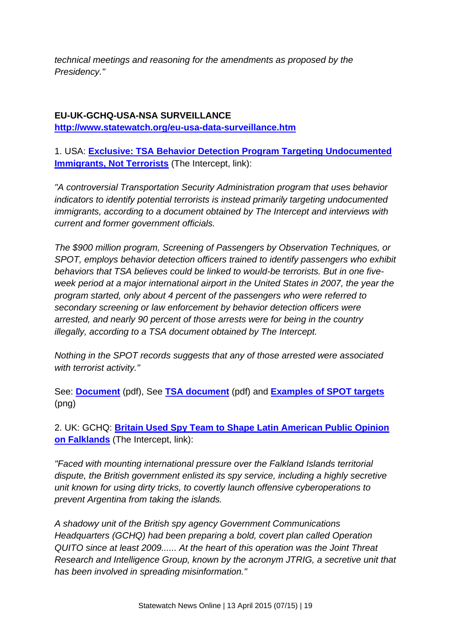*technical meetings and reasoning for the amendments as proposed by the Presidency."*

# **EU-UK-GCHQ-USA-NSA SURVEILLANCE <http://www.statewatch.org/eu-usa-data-surveillance.htm>**

1. USA: **[Exclusive: TSA Behavior Detection Program Targeting Undocumented](https://firstlook.org/theintercept/2015/04/06/exclusive-tsa-behavior-detection-program-targeting-immigrants-terrorists/)  [Immigrants, Not Terrorists](https://firstlook.org/theintercept/2015/04/06/exclusive-tsa-behavior-detection-program-targeting-immigrants-terrorists/)** (The Intercept, link):

*"A controversial Transportation Security Administration program that uses behavior indicators to identify potential terrorists is instead primarily targeting undocumented immigrants, according to a document obtained by The Intercept and interviews with current and former government officials.*

*The \$900 million program, Screening of Passengers by Observation Techniques, or SPOT, employs behavior detection officers trained to identify passengers who exhibit behaviors that TSA believes could be linked to would-be terrorists. But in one fiveweek period at a major international airport in the United States in 2007, the year the program started, only about 4 percent of the passengers who were referred to secondary screening or law enforcement by behavior detection officers were arrested, and nearly 90 percent of those arrests were for being in the country illegally, according to a TSA document obtained by The Intercept.*

*Nothing in the SPOT records suggests that any of those arrested were associated with terrorist activity."*

See: **[Document](http://www.statewatch.org/news/2015/apr/tsa-screening-document-spot.pdf)** (pdf), See **[TSA document](http://www.statewatch.org/news/2015/apr/usa-spot-referral.pdf)** (pdf) and **[Examples of SPOT targets](http://www.statewatch.org/news/2015/apr/Terrorist-spot-referrals-540x696.png)** (png)

2. UK: GCHQ: **[Britain Used Spy Team to Shape Latin American Public Opinion](https://firstlook.org/theintercept/2015/04/02/gchq-argentina-falklands/)  [on Falklands](https://firstlook.org/theintercept/2015/04/02/gchq-argentina-falklands/)** (The Intercept, link):

*"Faced with mounting international pressure over the Falkland Islands territorial dispute, the British government enlisted its spy service, including a highly secretive unit known for using dirty tricks, to covertly launch offensive cyberoperations to prevent Argentina from taking the islands.*

*A shadowy unit of the British spy agency Government Communications Headquarters (GCHQ) had been preparing a bold, covert plan called Operation QUITO since at least 2009...... At the heart of this operation was the Joint Threat Research and Intelligence Group, known by the acronym JTRIG, a secretive unit that has been involved in spreading misinformation."*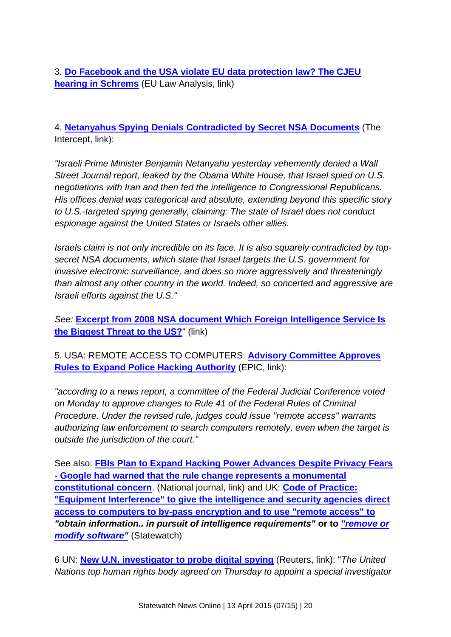3. **[Do Facebook and the USA violate EU data protection law? The CJEU](http://eulawanalysis.blogspot.co.uk/2015/03/does-facebook-and-usa-violate-eu-data.html?utm_source=feedburner&utm_medium=email&utm_campaign=Feed:+EuLawAnalysis+%28EU+Law+Analysis%29)  [hearing in Schrems](http://eulawanalysis.blogspot.co.uk/2015/03/does-facebook-and-usa-violate-eu-data.html?utm_source=feedburner&utm_medium=email&utm_campaign=Feed:+EuLawAnalysis+%28EU+Law+Analysis%29)** (EU Law Analysis, link)

4. **[Netanyahus Spying Denials Contradicted by Secret NSA Documents](https://firstlook.org/theintercept/2015/03/25/netanyahus-spying-denial-directly-contradicted-secret-nsa-documents/)** (The Intercept, link):

*"Israeli Prime Minister Benjamin Netanyahu yesterday vehemently denied a Wall Street Journal report, leaked by the Obama White House, that Israel spied on U.S. negotiations with Iran and then fed the intelligence to Congressional Republicans. His offices denial was categorical and absolute, extending beyond this specific story to U.S.-targeted spying generally, claiming: The state of Israel does not conduct espionage against the United States or Israels other allies.*

*Israels claim is not only incredible on its face. It is also squarely contradicted by topsecret NSA documents, which state that Israel targets the U.S. government for invasive electronic surveillance, and does so more aggressively and threateningly than almost any other country in the world. Indeed, so concerted and aggressive are Israeli efforts against the U.S."*

*See:* **[Excerpt from 2008 NSA document Which Foreign Intelligence Service Is](https://nsa.gov1.info/dni/2015/israel-nsa-nie-target.jpg)  [the Biggest Threat to the US?](https://nsa.gov1.info/dni/2015/israel-nsa-nie-target.jpg)**" (link)

5. USA: REMOTE ACCESS TO COMPUTERS: **Advisory [Committee Approves](http://epic.org/2015/03/advisory-committee-approves-ru.html)  [Rules to Expand Police Hacking Authority](http://epic.org/2015/03/advisory-committee-approves-ru.html)** (EPIC, link):

*"according to a news report, a committee of the Federal Judicial Conference voted on Monday to approve changes to Rule 41 of the Federal Rules of Criminal Procedure. Under the revised rule, judges could issue "remote access" warrants authorizing law enforcement to search computers remotely, even when the target is outside the jurisdiction of the court."*

See also: **[FBIs Plan to Expand Hacking Power Advances Despite Privacy Fears](http://www.nationaljournal.com/tech/fbi-s-plan-to-expand-hacking-power-advances-despite-privacy-fears-20150316)  - [Google had warned that the rule change represents a monumental](http://www.nationaljournal.com/tech/fbi-s-plan-to-expand-hacking-power-advances-despite-privacy-fears-20150316)  [constitutional concern](http://www.nationaljournal.com/tech/fbi-s-plan-to-expand-hacking-power-advances-despite-privacy-fears-20150316)**. (National journal, link) and UK: **[Code of Practice:](http://www.statewatch.org/news/2015/feb/uk-computer-surveillance.htm)  ["Equipment Interference" to give the intelligence and security agencies direct](http://www.statewatch.org/news/2015/feb/uk-computer-surveillance.htm)  [access to computers to by-pass encryption and to use "remote access" to](http://www.statewatch.org/news/2015/feb/uk-computer-surveillance.htm)**  *"obtain information.. in pursuit of intelligence requirements"* **or to** *["remove or](http://www.statewatch.org/news/2015/feb/uk-computer-surveillance.htm)  [modify software"](http://www.statewatch.org/news/2015/feb/uk-computer-surveillance.htm)* (Statewatch)

6 UN: **[New U.N. investigator to probe digital spying](http://www.reuters.com/article/2015/03/26/un-rights-privacy-idINKBN0MM2IT20150326)** (Reuters, link): "*The United Nations top human rights body agreed on Thursday to appoint a special investigator*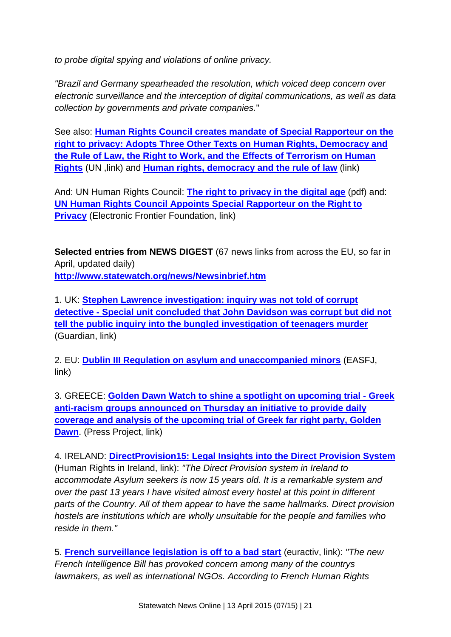*to probe digital spying and violations of online privacy.*

*"Brazil and Germany spearheaded the resolution, which voiced deep concern over electronic surveillance and the interception of digital communications, as well as data collection by governments and private companies.*"

See also: **[Human Rights Council creates mandate of Special Rapporteur on the](http://www.ohchr.org/en/NewsEvents/Pages/DisplayNews.aspx?NewsID=15763&LangID=E)  [right to privacy: Adopts Three Other Texts on Human Rights, Democracy and](http://www.ohchr.org/en/NewsEvents/Pages/DisplayNews.aspx?NewsID=15763&LangID=E)  [the Rule of Law, the Right to Work, and the Effects of Terrorism on Human](http://www.ohchr.org/en/NewsEvents/Pages/DisplayNews.aspx?NewsID=15763&LangID=E)  [Rights](http://www.ohchr.org/en/NewsEvents/Pages/DisplayNews.aspx?NewsID=15763&LangID=E)** (UN , link) and **[Human rights, democracy and the rule of law](http://www.un.org/ga/search/view_doc.asp?symbol=A/HRC/28/L.24)** (link)

And: UN Human Rights Council: **[The right to privacy in the digital age](http://statewatch.org/news/2015/mar/un-2015-03-24-human-rights-digital-rapporteur-resolution.pdf)** (pdf) and: **[UN Human Rights Council Appoints Special Rapporteur on the Right to](https://www.eff.org/deeplinks/2015/03/un-human-rights-council-appoints-special-rapporteur-right-privacy)  [Privacy](https://www.eff.org/deeplinks/2015/03/un-human-rights-council-appoints-special-rapporteur-right-privacy)** (Electronic Frontier Foundation, link)

**Selected entries from NEWS DIGEST** (67 news links from across the EU, so far in April, updated daily) **<http://www.statewatch.org/news/Newsinbrief.htm>**

1. UK: **[Stephen Lawrence investigation: inquiry was not told of corrupt](http://www.theguardian.com/uk-news/2015/apr/10/stephen-lawrence-investigation-inquiry-was-not-told-of-corrupt-detective)  detective - [Special unit concluded that John Davidson was corrupt but did not](http://www.theguardian.com/uk-news/2015/apr/10/stephen-lawrence-investigation-inquiry-was-not-told-of-corrupt-detective)  [tell the public inquiry into the bungled investigation of teenagers murder](http://www.theguardian.com/uk-news/2015/apr/10/stephen-lawrence-investigation-inquiry-was-not-told-of-corrupt-detective)** (Guardian, link)

2. EU: **[Dublin III Regulation on asylum and unaccompanied minors](http://free-group.eu/2015/04/09/dublin-iii-regulation-on-asylum-and-unaccompanied-minors/)** (EASFJ, link)

3. GREECE: **Golden Dawn Watch to shine [a spotlight on upcoming trial -](http://www.thepressproject.net/article/75419/Golden-Dawn-watch-to-shine-a-spotlight-on-upcoming-trial) Greek [anti-racism groups announced on Thursday an initiative to provide daily](http://www.thepressproject.net/article/75419/Golden-Dawn-watch-to-shine-a-spotlight-on-upcoming-trial)  [coverage and analysis of the upcoming trial of Greek far right party, Golden](http://www.thepressproject.net/article/75419/Golden-Dawn-watch-to-shine-a-spotlight-on-upcoming-trial)  [Dawn](http://www.thepressproject.net/article/75419/Golden-Dawn-watch-to-shine-a-spotlight-on-upcoming-trial)**. (Press Project, link)

4. IRELAND: **[DirectProvision15: Legal Insights into the Direct Provision System](http://humanrights.ie/children-and-the-law/directprovision15-legal-insights-into-the-direct-provision-system/)** (Human Rights in Ireland, link): *"The Direct Provision system in Ireland to accommodate Asylum seekers is now 15 years old. It is a remarkable system and over the past 13 years I have visited almost every hostel at this point in different parts of the Country. All of them appear to have the same hallmarks. Direct provision hostels are institutions which are wholly unsuitable for the people and families who reside in them."*

5. **[French surveillance legislation is off to a bad start](http://www.euractiv.com/sections/infosociety/french-surveillance-legislation-bad-start-313616)** (euractiv, link): *"The new French Intelligence Bill has provoked concern among many of the countrys lawmakers, as well as international NGOs. According to French Human Rights*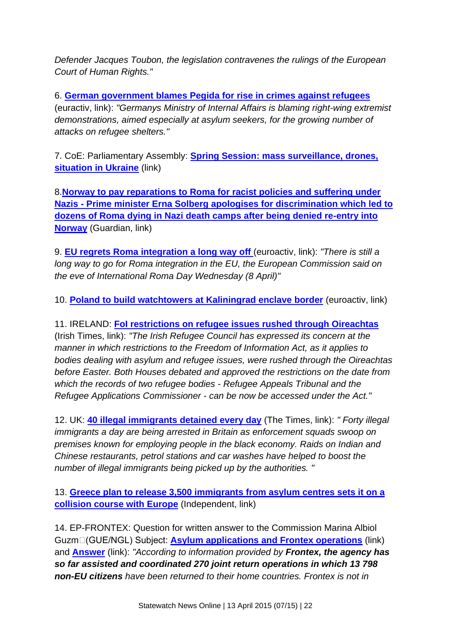*Defender Jacques Toubon, the legislation contravenes the rulings of the European Court of Human Rights."*

6. **[German government blames Pegida for rise in crimes against refugees](http://www.euractiv.com/sections/justice-home-affairs/german-government-blames-pegida-rise-crimes-against-refugees-313634)** (euractiv, link): *"Germanys Ministry of Internal Affairs is blaming right-wing extremist demonstrations, aimed especially at asylum seekers, for the growing number of attacks on refugee shelters."*

7. CoE: Parliamentary Assembly: **[Spring Session: mass surveillance, drones,](http://assembly.coe.int/nw/xml/News/News-View-EN.asp?newsid=5472&lang=2&cat=8)  [situation in Ukraine](http://assembly.coe.int/nw/xml/News/News-View-EN.asp?newsid=5472&lang=2&cat=8)** (link)

8.**[Norway to pay reparations to Roma for racist policies and suffering under](http://www.theguardian.com/world/2015/apr/09/norway-to-pay-reparations-to-roma-for-racist-policies-and-suffering-under-nazis)  Nazis - [Prime minister Erna Solberg apologises for discrimination which led to](http://www.theguardian.com/world/2015/apr/09/norway-to-pay-reparations-to-roma-for-racist-policies-and-suffering-under-nazis)  [dozens of Roma dying in Nazi death camps after being denied re-entry into](http://www.theguardian.com/world/2015/apr/09/norway-to-pay-reparations-to-roma-for-racist-policies-and-suffering-under-nazis)  [Norway](http://www.theguardian.com/world/2015/apr/09/norway-to-pay-reparations-to-roma-for-racist-policies-and-suffering-under-nazis)** (Guardian, link)

9. **[EU regrets Roma integration a long way off](http://www.euractiv.com/sections/social-europe-jobs/roma-integration-long-way-lawmakers-say-313574)** (euroactiv, link): *"There is still a long way to go for Roma integration in the EU, the European Commission said on the eve of International Roma Day Wednesday (8 April)"*

10. **[Poland to build watchtowers at Kaliningrad enclave border](http://www.euractiv.com/sections/global-europe/poland-build-watchtowers-kaliningrad-enclave-border-313559)** (euroactiv, link)

11. IRELAND: **[FoI restrictions on refugee issues rushed through Oireachtas](http://www.irishtimes.com/news/social-affairs/foi-restrictions-on-refugee-issues-rushed-through-oireachtas-1.2165693)** (Irish Times, link): *"The Irish Refugee Council has expressed its concern at the manner in which restrictions to the Freedom of Information Act, as it applies to bodies dealing with asylum and refugee issues, were rushed through the Oireachtas before Easter. Both Houses debated and approved the restrictions on the date from which the records of two refugee bodies - Refugee Appeals Tribunal and the Refugee Applications Commissioner - can be now be accessed under the Act."*

12. UK: **[40 illegal immigrants detained every day](http://www.thetimes.co.uk/tto/news/uk/article4403073.ece)** (The Times, link): *" Forty illegal immigrants a day are being arrested in Britain as enforcement squads swoop on premises known for employing people in the black economy. Raids on Indian and Chinese restaurants, petrol stations and car washes have helped to boost the number of illegal immigrants being picked up by the authorities. "*

13. **[Greece plan to release 3,500 immigrants from asylum centres sets it on a](http://www.independent.co.uk/news/world/europe/greece-plan-to-release-3500-illegal-immigrants-from-asylum-centres-sets-it-on-a-collision-course-with-europe-10157380.html)  [collision course with Europe](http://www.independent.co.uk/news/world/europe/greece-plan-to-release-3500-illegal-immigrants-from-asylum-centres-sets-it-on-a-collision-course-with-europe-10157380.html)** (Independent, link)

14. EP-FRONTEX: Question for written answer to the Commission Marina Albiol Guzmᮠ(GUE/NGL) Subject: **[Asylum applications and Frontex operations](http://www.europarl.europa.eu/sides/getDoc.do?type=WQ&reference=E-2015-000472&language=EN)** (link) and **[Answer](http://www.europarl.europa.eu/sides/getAllAnswers.do?reference=E-2015-000472&language=EN)** (link): *"According to information provided by Frontex, the agency has so far assisted and coordinated 270 joint return operations in which 13 798 non-EU citizens have been returned to their home countries. Frontex is not in*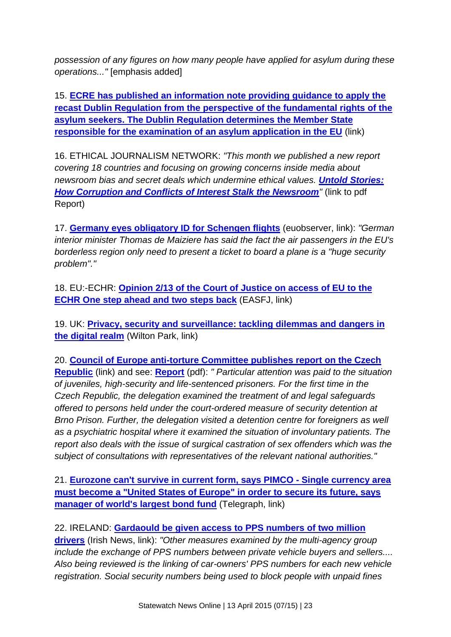*possession of any figures on how many people have applied for asylum during these operations..."* [emphasis added]

15. **[ECRE has published an information note providing guidance to apply the](http://ecre.org/component/content/article/70-weekly-bulletin-articles/1014-ecre-publishes-guidance-on-the-application-of-the-recast-dublin-regulation.html)  [recast Dublin Regulation from the perspective of the fundamental rights of the](http://ecre.org/component/content/article/70-weekly-bulletin-articles/1014-ecre-publishes-guidance-on-the-application-of-the-recast-dublin-regulation.html)  [asylum seekers. The Dublin Regulation determines the Member State](http://ecre.org/component/content/article/70-weekly-bulletin-articles/1014-ecre-publishes-guidance-on-the-application-of-the-recast-dublin-regulation.html)  [responsible for the examination of an asylum application in the EU](http://ecre.org/component/content/article/70-weekly-bulletin-articles/1014-ecre-publishes-guidance-on-the-application-of-the-recast-dublin-regulation.html)** (link)

16. ETHICAL JOURNALISM NETWORK: *"This month we published a new report covering 18 countries and focusing on growing concerns inside media about newsroom bias and secret deals which undermine ethical values. [Untold Stories:](http://ethicaljournalismnetwork.org/assets/docs/220/136/92a87dc-d968188.pdf)  [How Corruption and Conflicts of Interest Stalk the Newsroom](http://ethicaljournalismnetwork.org/assets/docs/220/136/92a87dc-d968188.pdf)"* (link to pdf Report)

17. **[Germany eyes obligatory ID for Schengen flights](https://euobserver.com/justice/128229)** (euobserver, link): *"German interior minister Thomas de Maiziere has said the fact the air passengers in the EU's borderless region only need to present a ticket to board a plane is a "huge security problem"."*

18. EU:-ECHR: **[Opinion 2/13 of the Court of Justice](http://free-group.eu/2015/03/31/opinion-213-of-the-court-of-justice-on-access-of-the-eu-to-the-echr-one-step-ahead-and-two-steps-back/) on access of EU to the [ECHR One step ahead and two steps back](http://free-group.eu/2015/03/31/opinion-213-of-the-court-of-justice-on-access-of-the-eu-to-the-echr-one-step-ahead-and-two-steps-back/)** (EASFJ, link)

19. UK: **[Privacy, security and surveillance: tackling dilemmas and dangers in](https://www.wiltonpark.org.uk/wp-content/uploads/WP1361-Report.pdf)  [the digital realm](https://www.wiltonpark.org.uk/wp-content/uploads/WP1361-Report.pdf)** (Wilton Park, link)

20. **[Council of Europe anti-torture Committee publishes report on the Czech](http://www.cpt.coe.int/documents/cze/2015-03-31-eng.htm)  [Republic](http://www.cpt.coe.int/documents/cze/2015-03-31-eng.htm)** (link) and see: **[Report](http://www.statewatch.org/news/2015/mar/coe-cpt-czech-rep-report.pdf)** (pdf): *" Particular attention was paid to the situation of juveniles, high-security and life-sentenced prisoners. For the first time in the Czech Republic, the delegation examined the treatment of and legal safeguards offered to persons held under the court-ordered measure of security detention at Brno Prison. Further, the delegation visited a detention centre for foreigners as well as a psychiatric hospital where it examined the situation of involuntary patients. The report also deals with the issue of surgical castration of sex offenders which was the subject of consultations with representatives of the relevant national authorities."*

21. **[Eurozone can't survive in current form, says PIMCO -](http://www.telegraph.co.uk/finance/economics/11501280/Eurozone-cant-survive-in-current-form-says-PIMCO.html) Single currency area [must become a "United States of Europe" in order to secure its future, says](http://www.telegraph.co.uk/finance/economics/11501280/Eurozone-cant-survive-in-current-form-says-PIMCO.html)  [manager of world's largest bond fund](http://www.telegraph.co.uk/finance/economics/11501280/Eurozone-cant-survive-in-current-form-says-PIMCO.html)** (Telegraph, link)

22. IRELAND: **[Gardaould be given access to PPS numbers of two million](http://www.independent.ie/irish-news/news/garda-could-be-given-access-to-pps-numbers-of-two-million-drivers-31104150.html)  [drivers](http://www.independent.ie/irish-news/news/garda-could-be-given-access-to-pps-numbers-of-two-million-drivers-31104150.html)** (Irish News, link): *"Other measures examined by the multi-agency group include the exchange of PPS numbers between private vehicle buyers and sellers.... Also being reviewed is the linking of car-owners' PPS numbers for each new vehicle registration. Social security numbers being used to block people with unpaid fines*